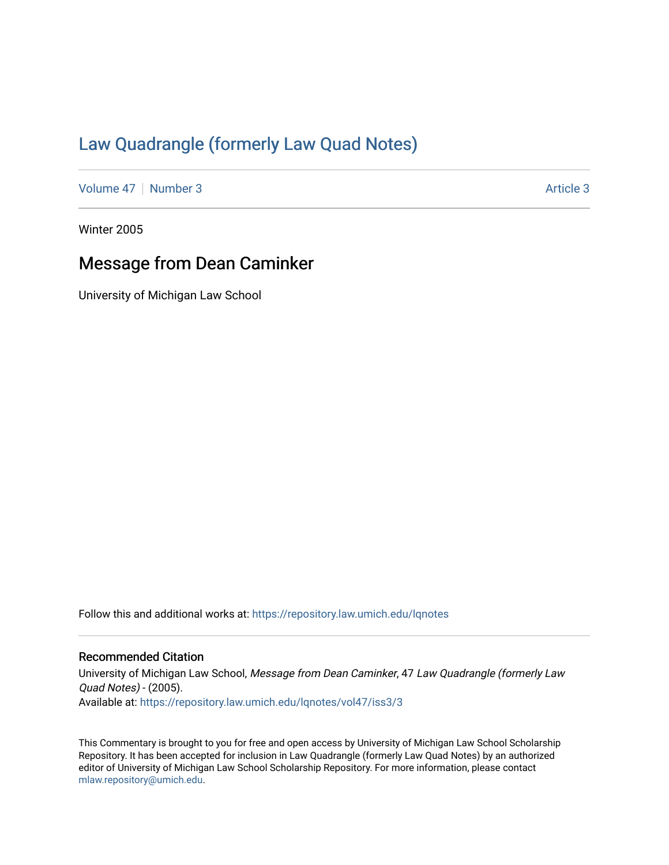## [Law Quadrangle \(formerly Law Quad Notes\)](https://repository.law.umich.edu/lqnotes)

[Volume 47](https://repository.law.umich.edu/lqnotes/vol47) | [Number 3](https://repository.law.umich.edu/lqnotes/vol47/iss3) Article 3

Winter 2005

## Message from Dean Caminker

University of Michigan Law School

Follow this and additional works at: [https://repository.law.umich.edu/lqnotes](https://repository.law.umich.edu/lqnotes?utm_source=repository.law.umich.edu%2Flqnotes%2Fvol47%2Fiss3%2F3&utm_medium=PDF&utm_campaign=PDFCoverPages) 

## Recommended Citation

University of Michigan Law School, Message from Dean Caminker, 47 Law Quadrangle (formerly Law Quad Notes) - (2005). Available at: [https://repository.law.umich.edu/lqnotes/vol47/iss3/3](https://repository.law.umich.edu/lqnotes/vol47/iss3/3?utm_source=repository.law.umich.edu%2Flqnotes%2Fvol47%2Fiss3%2F3&utm_medium=PDF&utm_campaign=PDFCoverPages) 

This Commentary is brought to you for free and open access by University of Michigan Law School Scholarship Repository. It has been accepted for inclusion in Law Quadrangle (formerly Law Quad Notes) by an authorized editor of University of Michigan Law School Scholarship Repository. For more information, please contact [mlaw.repository@umich.edu.](mailto:mlaw.repository@umich.edu)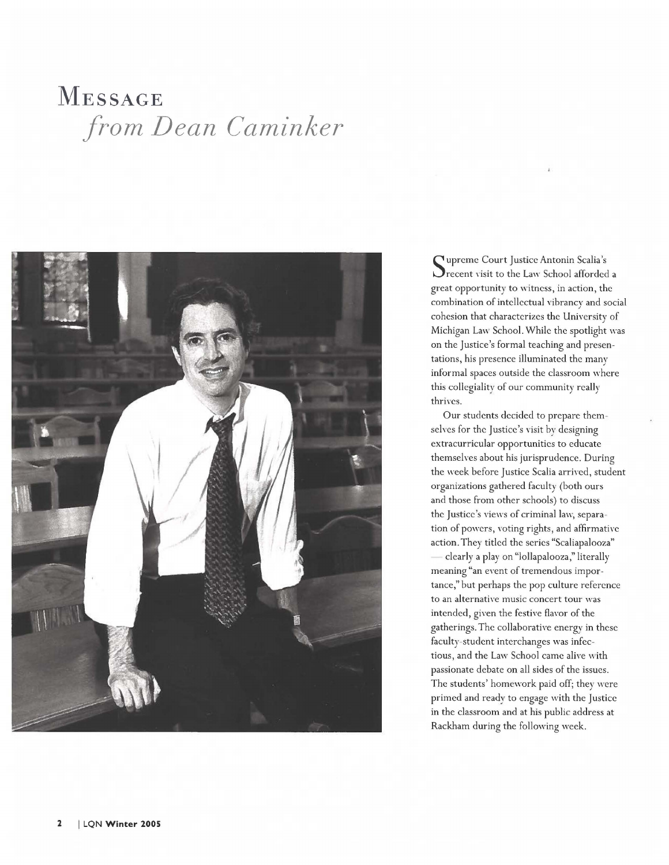## **MESSAGE**   $from Dean Caminker$



Supreme Court Justice Antonin Scalia's<br>Specent visit to the Law School afforded  $\triangleright$  recent visit to the Law School afforded a great opportunity to witness, in action, the combination of intellectual vibrancv and social *<sup>J</sup>* cohesion that characterizes the University of Michigan Law School. While the spotlight was on the Justice's formal teaching and presentations, his presence illuminated the many informal spaces outside the classroom where this collegiality of our community really thrives.

Our students decided to prepare themselves for the Justice's visit by designing extracurricular opportunities to educate themselves about his jurisprudence. During the week before Justice Scalia arrived, student organizations gathered faculty (both ours and those from other schools) to discuss the Justice's views of criminal law, separation of powers, voting rights, and affirmative action. They titled the series "Scaliapalooza" clearly a play on "lollapalooza," literally meaning "an event of tremendous importance," but perhaps the pop culture reference to an alternative music concert tour was intended, given the festive flavor of the gatherings. The collaborative energy in these faculty-student interchanges was infectious, and the Law School came alive with passionate debate on all sides of the issues. The students' homework paid off; they were primed and ready to engage with the Justice in the classroom and at his public address at Rackham during the following week.